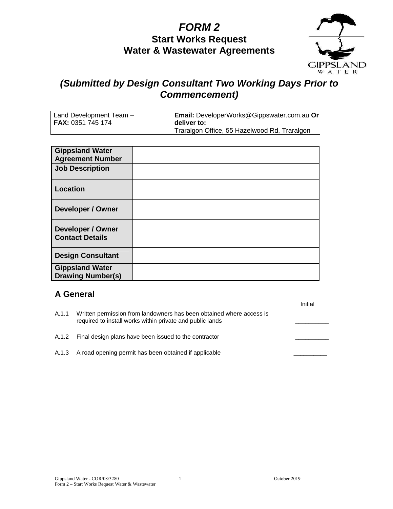# **FORM 2 Start Works Request Water & Wastewater Agreements**



## **(Submitted by Design Consultant Two Working Days Prior to Commencement)**

| Land Development Team -  | Email: DeveloperWorks@Gippswater.com.au Or   |
|--------------------------|----------------------------------------------|
| <b>FAX: 0351 745 174</b> | deliver to:                                  |
|                          | Traralgon Office, 55 Hazelwood Rd, Traralgon |

| <b>Gippsland Water</b><br><b>Agreement Number</b>  |  |
|----------------------------------------------------|--|
| <b>Job Description</b>                             |  |
| <b>Location</b>                                    |  |
| <b>Developer / Owner</b>                           |  |
| <b>Developer / Owner</b><br><b>Contact Details</b> |  |
| <b>Design Consultant</b>                           |  |
| <b>Gippsland Water</b><br><b>Drawing Number(s)</b> |  |

#### **A General**

| A.1.1 | Written permission from landowners has been obtained where access is<br>required to install works within private and public lands | нниан |
|-------|-----------------------------------------------------------------------------------------------------------------------------------|-------|
|       | A.1.2 Final design plans have been issued to the contractor                                                                       |       |
|       | A.1.3 A road opening permit has been obtained if applicable                                                                       |       |

Initial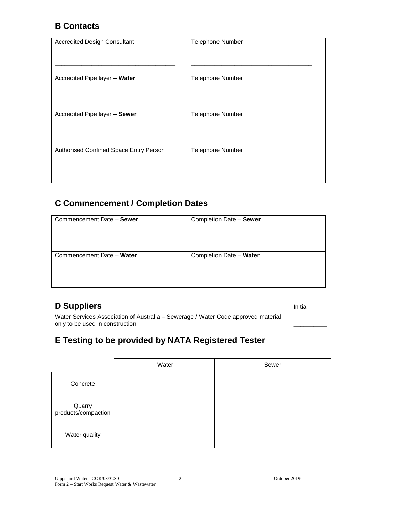### **B Contacts**

| <b>Accredited Design Consultant</b>    | <b>Telephone Number</b> |
|----------------------------------------|-------------------------|
| Accredited Pipe layer - Water          | <b>Telephone Number</b> |
| Accredited Pipe layer - Sewer          | <b>Telephone Number</b> |
| Authorised Confined Space Entry Person | Telephone Number        |

## **C Commencement / Completion Dates**

| Commencement Date - Sewer | Completion Date - Sewer |
|---------------------------|-------------------------|
|                           |                         |
| Commencement Date - Water | Completion Date - Water |
|                           |                         |
|                           |                         |

## **D Suppliers Initial**

Water Services Association of Australia – Sewerage / Water Code approved material only to be used in construction

## **E Testing to be provided by NATA Registered Tester**

|                               | Water | Sewer |
|-------------------------------|-------|-------|
| Concrete                      |       |       |
| Quarry<br>products/compaction |       |       |
| Water quality                 |       |       |